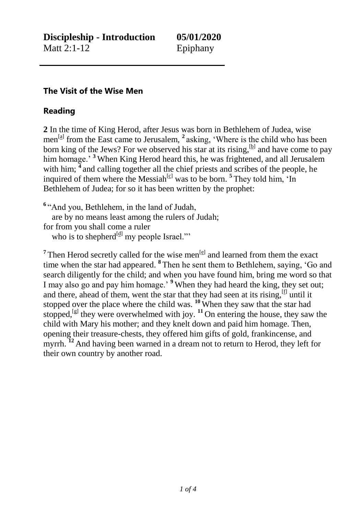## **The Visit of the Wise Men**

## **Reading**

**2** In the time of King Herod, after Jesus was born in Bethlehem of Judea, wise men<sup>[\[a\]](https://beta.biblegateway.com/passage/?search=matt+2&version=NRSVACE#fen-NRSVACE-27442a)</sup> from the East came to Jerusalem, <sup>2</sup> asking, 'Where is the child who has been born king of the Jews? For we observed his star at its rising,  $[<sup>b</sup>]$  and have come to pay him homage.' <sup>3</sup> When King Herod heard this, he was frightened, and all Jerusalem with him; <sup>4</sup> and calling together all the chief priests and scribes of the people, he inquired of them where the Messiah<sup>[\[c\]](https://beta.biblegateway.com/passage/?search=matt+2&version=NRSVACE#fen-NRSVACE-27445c)</sup> was to be born.<sup>5</sup> They told him, 'In Bethlehem of Judea; for so it has been written by the prophet:

**6** "And you, Bethlehem, in the land of Judah, are by no means least among the rulers of Judah; for from you shall come a ruler who is to shepherd $\left[\frac{d}{dx}\right]$  my people Israel."

<sup>7</sup> Then Herod secretly called for the wise men<sup>[\[e\]](https://beta.biblegateway.com/passage/?search=matt+2&version=NRSVACE#fen-NRSVACE-27448e)</sup> and learned from them the exact time when the star had appeared. **<sup>8</sup>** Then he sent them to Bethlehem, saying, 'Go and search diligently for the child; and when you have found him, bring me word so that I may also go and pay him homage.' **<sup>9</sup>** When they had heard the king, they set out; and there, ahead of them, went the star that they had seen at its rising,  $[f]$  until it stopped over the place where the child was. **<sup>10</sup>** When they saw that the star had stopped,  $\left[\mathcal{L}\right]$  they were overwhelmed with joy.  $\mathbf{^{11}}$  On entering the house, they saw the child with Mary his mother; and they knelt down and paid him homage. Then, opening their treasure-chests, they offered him gifts of gold, frankincense, and myrrh. <sup>12</sup> And having been warned in a dream not to return to Herod, they left for their own country by another road.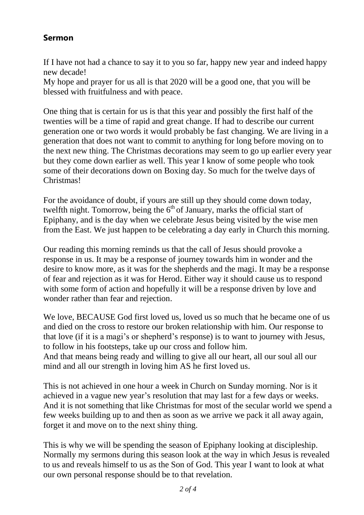## **Sermon**

If I have not had a chance to say it to you so far, happy new year and indeed happy new decade!

My hope and prayer for us all is that 2020 will be a good one, that you will be blessed with fruitfulness and with peace.

One thing that is certain for us is that this year and possibly the first half of the twenties will be a time of rapid and great change. If had to describe our current generation one or two words it would probably be fast changing. We are living in a generation that does not want to commit to anything for long before moving on to the next new thing. The Christmas decorations may seem to go up earlier every year but they come down earlier as well. This year I know of some people who took some of their decorations down on Boxing day. So much for the twelve days of Christmas!

For the avoidance of doubt, if yours are still up they should come down today, twelfth night. Tomorrow, being the  $6<sup>th</sup>$  of January, marks the official start of Epiphany, and is the day when we celebrate Jesus being visited by the wise men from the East. We just happen to be celebrating a day early in Church this morning.

Our reading this morning reminds us that the call of Jesus should provoke a response in us. It may be a response of journey towards him in wonder and the desire to know more, as it was for the shepherds and the magi. It may be a response of fear and rejection as it was for Herod. Either way it should cause us to respond with some form of action and hopefully it will be a response driven by love and wonder rather than fear and rejection.

We love, BECAUSE God first loved us, loved us so much that he became one of us and died on the cross to restore our broken relationship with him. Our response to that love (if it is a magi's or shepherd's response) is to want to journey with Jesus, to follow in his footsteps, take up our cross and follow him. And that means being ready and willing to give all our heart, all our soul all our mind and all our strength in loving him AS he first loved us.

This is not achieved in one hour a week in Church on Sunday morning. Nor is it achieved in a vague new year's resolution that may last for a few days or weeks. And it is not something that like Christmas for most of the secular world we spend a few weeks building up to and then as soon as we arrive we pack it all away again, forget it and move on to the next shiny thing.

This is why we will be spending the season of Epiphany looking at discipleship. Normally my sermons during this season look at the way in which Jesus is revealed to us and reveals himself to us as the Son of God. This year I want to look at what our own personal response should be to that revelation.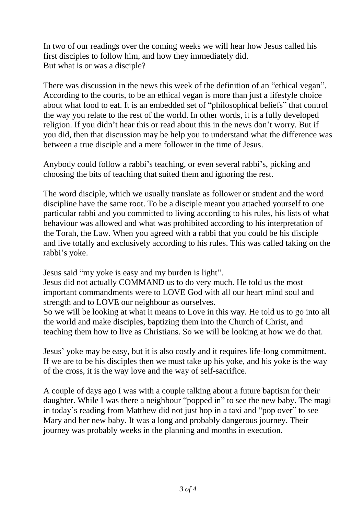In two of our readings over the coming weeks we will hear how Jesus called his first disciples to follow him, and how they immediately did. But what is or was a disciple?

There was discussion in the news this week of the definition of an "ethical vegan". According to the courts, to be an ethical vegan is more than just a lifestyle choice about what food to eat. It is an embedded set of "philosophical beliefs" that control the way you relate to the rest of the world. In other words, it is a fully developed religion. If you didn't hear this or read about this in the news don't worry. But if you did, then that discussion may be help you to understand what the difference was between a true disciple and a mere follower in the time of Jesus.

Anybody could follow a rabbi's teaching, or even several rabbi's, picking and choosing the bits of teaching that suited them and ignoring the rest.

The word disciple, which we usually translate as follower or student and the word discipline have the same root. To be a disciple meant you attached yourself to one particular rabbi and you committed to living according to his rules, his lists of what behaviour was allowed and what was prohibited according to his interpretation of the Torah, the Law. When you agreed with a rabbi that you could be his disciple and live totally and exclusively according to his rules. This was called taking on the rabbi's yoke.

Jesus said "my yoke is easy and my burden is light".

Jesus did not actually COMMAND us to do very much. He told us the most important commandments were to LOVE God with all our heart mind soul and strength and to LOVE our neighbour as ourselves.

So we will be looking at what it means to Love in this way. He told us to go into all the world and make disciples, baptizing them into the Church of Christ, and teaching them how to live as Christians. So we will be looking at how we do that.

Jesus' yoke may be easy, but it is also costly and it requires life-long commitment. If we are to be his disciples then we must take up his yoke, and his yoke is the way of the cross, it is the way love and the way of self-sacrifice.

A couple of days ago I was with a couple talking about a future baptism for their daughter. While I was there a neighbour "popped in" to see the new baby. The magi in today's reading from Matthew did not just hop in a taxi and "pop over" to see Mary and her new baby. It was a long and probably dangerous journey. Their journey was probably weeks in the planning and months in execution.